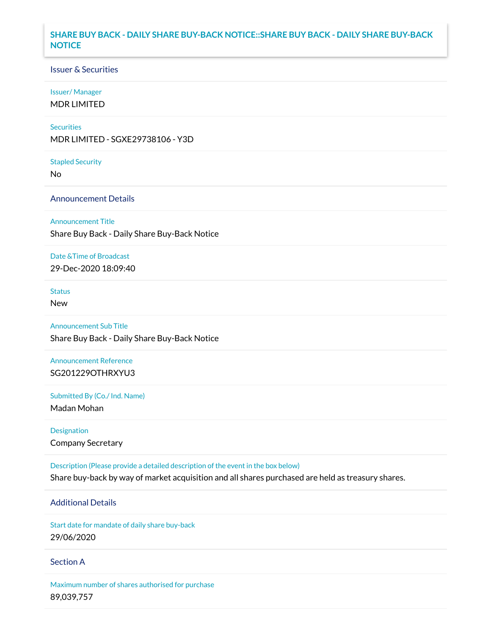## **SHARE BUY BACK - DAILY SHARE BUY-BACK NOTICE::SHARE BUY BACK - DAILY SHARE BUY-BACK NOTICE**

### Issuer & Securities

### Issuer/ Manager

MDR LIMITED

### **Securities**

MDR LIMITED - SGXE29738106 - Y3D

#### Stapled Security

No

### Announcement Details

Announcement Title

Share Buy Back - Daily Share Buy-Back Notice

### Date &Time of Broadcast

29-Dec-2020 18:09:40

## Status

New

# Announcement Sub Title

Share Buy Back - Daily Share Buy-Back Notice

## Announcement Reference SG201229OTHRXYU3

Submitted By (Co./ Ind. Name)

Madan Mohan

Designation Company Secretary

Description (Please provide a detailed description of the event in the box below) Share buy-back by way of market acquisition and all shares purchased are held as treasury shares.

## Additional Details

Start date for mandate of daily share buy-back 29/06/2020

### Section A

Maximum number of shares authorised for purchase 89,039,757